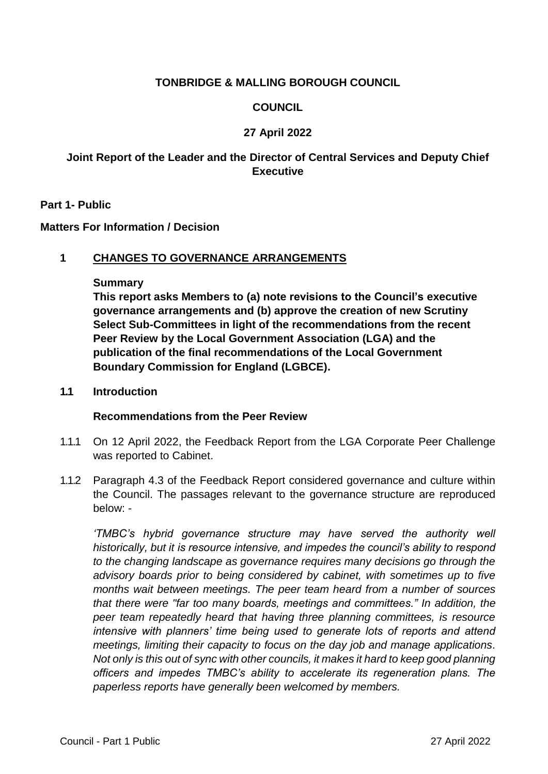# **TONBRIDGE & MALLING BOROUGH COUNCIL**

# **COUNCIL**

# **27 April 2022**

# **Joint Report of the Leader and the Director of Central Services and Deputy Chief Executive**

### **Part 1- Public**

### **Matters For Information / Decision**

## **1 CHANGES TO GOVERNANCE ARRANGEMENTS**

#### **Summary**

**This report asks Members to (a) note revisions to the Council's executive governance arrangements and (b) approve the creation of new Scrutiny Select Sub-Committees in light of the recommendations from the recent Peer Review by the Local Government Association (LGA) and the publication of the final recommendations of the Local Government Boundary Commission for England (LGBCE).**

#### **1.1 Introduction**

## **Recommendations from the Peer Review**

- 1.1.1 On 12 April 2022, the Feedback Report from the LGA Corporate Peer Challenge was reported to Cabinet.
- 1.1.2 Paragraph 4.3 of the Feedback Report considered governance and culture within the Council. The passages relevant to the governance structure are reproduced below: -

*'TMBC's hybrid governance structure may have served the authority well historically, but it is resource intensive, and impedes the council's ability to respond to the changing landscape as governance requires many decisions go through the advisory boards prior to being considered by cabinet, with sometimes up to five months wait between meetings. The peer team heard from a number of sources that there were "far too many boards, meetings and committees." In addition, the peer team repeatedly heard that having three planning committees, is resource intensive with planners' time being used to generate lots of reports and attend meetings, limiting their capacity to focus on the day job and manage applications. Not only is this out of sync with other councils, it makes it hard to keep good planning officers and impedes TMBC's ability to accelerate its regeneration plans. The paperless reports have generally been welcomed by members.*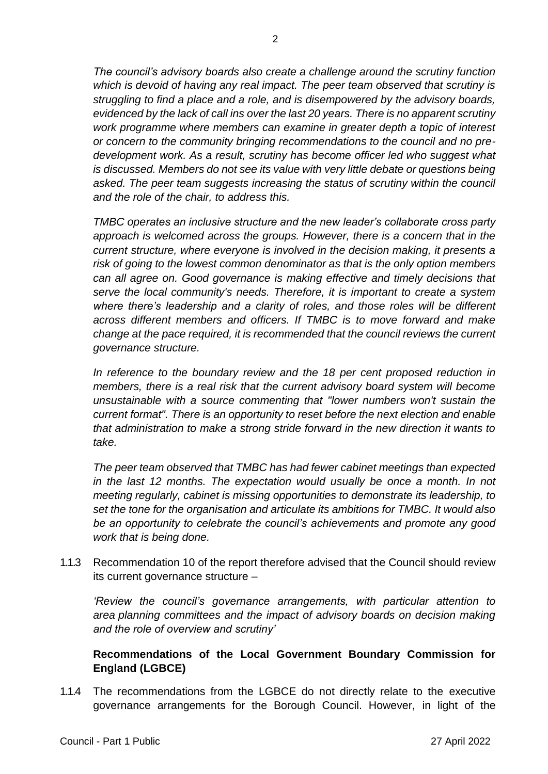*The council's advisory boards also create a challenge around the scrutiny function which is devoid of having any real impact. The peer team observed that scrutiny is struggling to find a place and a role, and is disempowered by the advisory boards, evidenced by the lack of call ins over the last 20 years. There is no apparent scrutiny work programme where members can examine in greater depth a topic of interest or concern to the community bringing recommendations to the council and no predevelopment work. As a result, scrutiny has become officer led who suggest what is discussed. Members do not see its value with very little debate or questions being asked. The peer team suggests increasing the status of scrutiny within the council and the role of the chair, to address this.*

*TMBC operates an inclusive structure and the new leader's collaborate cross party approach is welcomed across the groups. However, there is a concern that in the current structure, where everyone is involved in the decision making, it presents a risk of going to the lowest common denominator as that is the only option members can all agree on. Good governance is making effective and timely decisions that serve the local community's needs. Therefore, it is important to create a system where there's leadership and a clarity of roles, and those roles will be different across different members and officers. If TMBC is to move forward and make change at the pace required, it is recommended that the council reviews the current governance structure.* 

In reference to the boundary review and the 18 per cent proposed reduction in *members, there is a real risk that the current advisory board system will become unsustainable with a source commenting that "lower numbers won't sustain the current format". There is an opportunity to reset before the next election and enable that administration to make a strong stride forward in the new direction it wants to take.*

*The peer team observed that TMBC has had fewer cabinet meetings than expected in the last 12 months. The expectation would usually be once a month. In not meeting regularly, cabinet is missing opportunities to demonstrate its leadership, to set the tone for the organisation and articulate its ambitions for TMBC. It would also be an opportunity to celebrate the council's achievements and promote any good work that is being done.*

1.1.3 Recommendation 10 of the report therefore advised that the Council should review its current governance structure –

*'Review the council's governance arrangements, with particular attention to area planning committees and the impact of advisory boards on decision making and the role of overview and scrutiny'*

# **Recommendations of the Local Government Boundary Commission for England (LGBCE)**

1.1.4 The recommendations from the LGBCE do not directly relate to the executive governance arrangements for the Borough Council. However, in light of the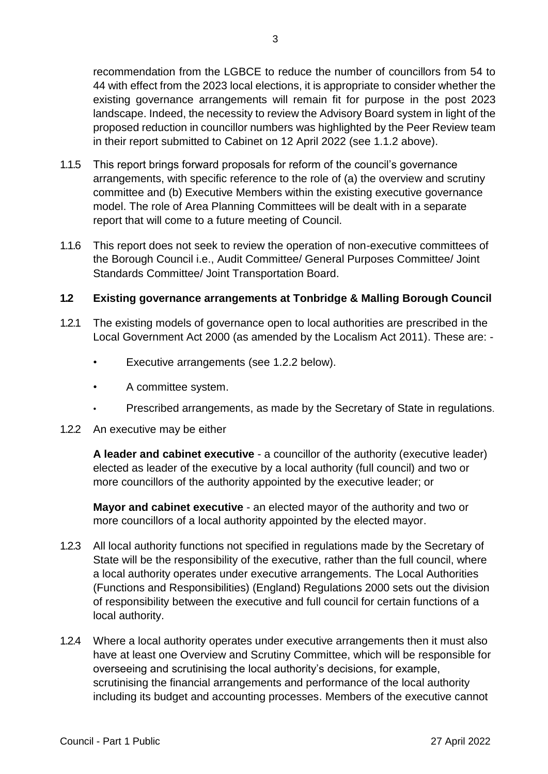recommendation from the LGBCE to reduce the number of councillors from 54 to 44 with effect from the 2023 local elections, it is appropriate to consider whether the existing governance arrangements will remain fit for purpose in the post 2023 landscape. Indeed, the necessity to review the Advisory Board system in light of the proposed reduction in councillor numbers was highlighted by the Peer Review team in their report submitted to Cabinet on 12 April 2022 (see 1.1.2 above).

- 1.1.5 This report brings forward proposals for reform of the council's governance arrangements, with specific reference to the role of (a) the overview and scrutiny committee and (b) Executive Members within the existing executive governance model. The role of Area Planning Committees will be dealt with in a separate report that will come to a future meeting of Council.
- 1.1.6 This report does not seek to review the operation of non-executive committees of the Borough Council i.e., Audit Committee/ General Purposes Committee/ Joint Standards Committee/ Joint Transportation Board.

## **1.2 Existing governance arrangements at Tonbridge & Malling Borough Council**

- 1.2.1 The existing models of governance open to local authorities are prescribed in the Local Government Act 2000 (as amended by the Localism Act 2011). These are: -
	- Executive arrangements (see 1.2.2 below).
	- A committee system.
	- Prescribed arrangements, as made by the Secretary of State in regulations.
- 1.2.2 An executive may be either

**A leader and cabinet executive** - a councillor of the authority (executive leader) elected as leader of the executive by a local authority (full council) and two or more councillors of the authority appointed by the executive leader; or

**Mayor and cabinet executive** - an elected mayor of the authority and two or more councillors of a local authority appointed by the elected mayor.

- 1.2.3 All local authority functions not specified in regulations made by the Secretary of State will be the responsibility of the executive, rather than the full council, where a local authority operates under executive arrangements. The Local Authorities (Functions and Responsibilities) (England) Regulations 2000 sets out the division of responsibility between the executive and full council for certain functions of a local authority.
- 1.2.4 Where a local authority operates under executive arrangements then it must also have at least one Overview and Scrutiny Committee, which will be responsible for overseeing and scrutinising the local authority's decisions, for example, scrutinising the financial arrangements and performance of the local authority including its budget and accounting processes. Members of the executive cannot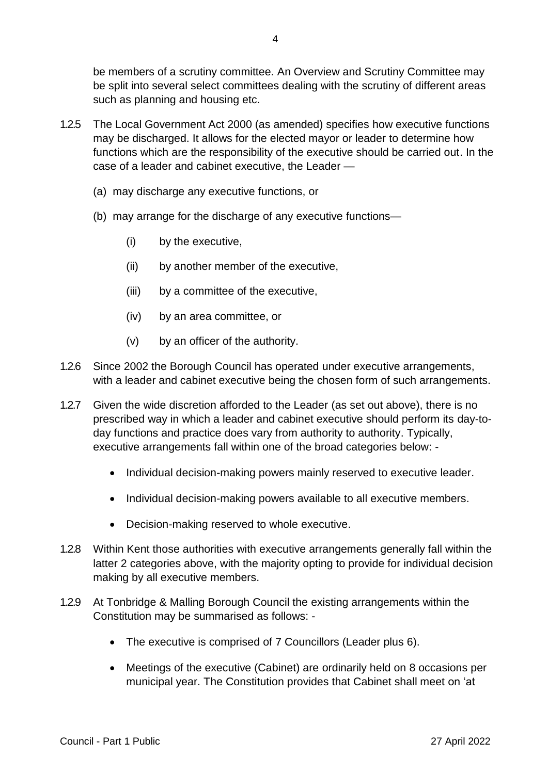be members of a scrutiny committee. An Overview and Scrutiny Committee may be split into several select committees dealing with the scrutiny of different areas such as planning and housing etc.

- 1.2.5 The Local Government Act 2000 (as amended) specifies how executive functions may be discharged. It allows for the elected mayor or leader to determine how functions which are the responsibility of the executive should be carried out. In the case of a leader and cabinet executive, the Leader —
	- (a) may discharge any executive functions, or
	- (b) may arrange for the discharge of any executive functions—
		- (i) by the executive,
		- (ii) by another member of the executive,
		- (iii) by a committee of the executive,
		- (iv) by an area committee, or
		- (v) by an officer of the authority.
- 1.2.6 Since 2002 the Borough Council has operated under executive arrangements, with a leader and cabinet executive being the chosen form of such arrangements.
- 1.2.7 Given the wide discretion afforded to the Leader (as set out above), there is no prescribed way in which a leader and cabinet executive should perform its day-today functions and practice does vary from authority to authority. Typically, executive arrangements fall within one of the broad categories below: -
	- Individual decision-making powers mainly reserved to executive leader.
	- Individual decision-making powers available to all executive members.
	- Decision-making reserved to whole executive.
- 1.2.8 Within Kent those authorities with executive arrangements generally fall within the latter 2 categories above, with the majority opting to provide for individual decision making by all executive members.
- 1.2.9 At Tonbridge & Malling Borough Council the existing arrangements within the Constitution may be summarised as follows: -
	- The executive is comprised of 7 Councillors (Leader plus 6).
	- Meetings of the executive (Cabinet) are ordinarily held on 8 occasions per municipal year. The Constitution provides that Cabinet shall meet on 'at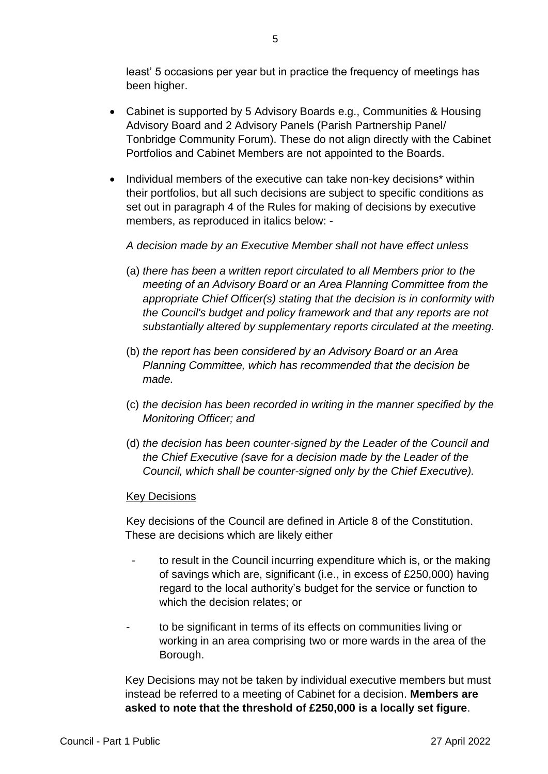least' 5 occasions per year but in practice the frequency of meetings has been higher.

- Cabinet is supported by 5 Advisory Boards e.g., Communities & Housing Advisory Board and 2 Advisory Panels (Parish Partnership Panel/ Tonbridge Community Forum). These do not align directly with the Cabinet Portfolios and Cabinet Members are not appointed to the Boards.
- Individual members of the executive can take non-key decisions\* within their portfolios, but all such decisions are subject to specific conditions as set out in paragraph 4 of the Rules for making of decisions by executive members, as reproduced in italics below: -

# *A decision made by an Executive Member shall not have effect unless*

- (a) *there has been a written report circulated to all Members prior to the meeting of an Advisory Board or an Area Planning Committee from the appropriate Chief Officer(s) stating that the decision is in conformity with the Council's budget and policy framework and that any reports are not substantially altered by supplementary reports circulated at the meeting.*
- (b) *the report has been considered by an Advisory Board or an Area Planning Committee, which has recommended that the decision be made.*
- (c) *the decision has been recorded in writing in the manner specified by the Monitoring Officer; and*
- (d) *the decision has been counter-signed by the Leader of the Council and the Chief Executive (save for a decision made by the Leader of the Council, which shall be counter-signed only by the Chief Executive).*

#### **Key Decisions**

Key decisions of the Council are defined in Article 8 of the Constitution. These are decisions which are likely either

- to result in the Council incurring expenditure which is, or the making of savings which are, significant (i.e., in excess of £250,000) having regard to the local authority's budget for the service or function to which the decision relates; or
- to be significant in terms of its effects on communities living or working in an area comprising two or more wards in the area of the Borough.

Key Decisions may not be taken by individual executive members but must instead be referred to a meeting of Cabinet for a decision. **Members are asked to note that the threshold of £250,000 is a locally set figure**.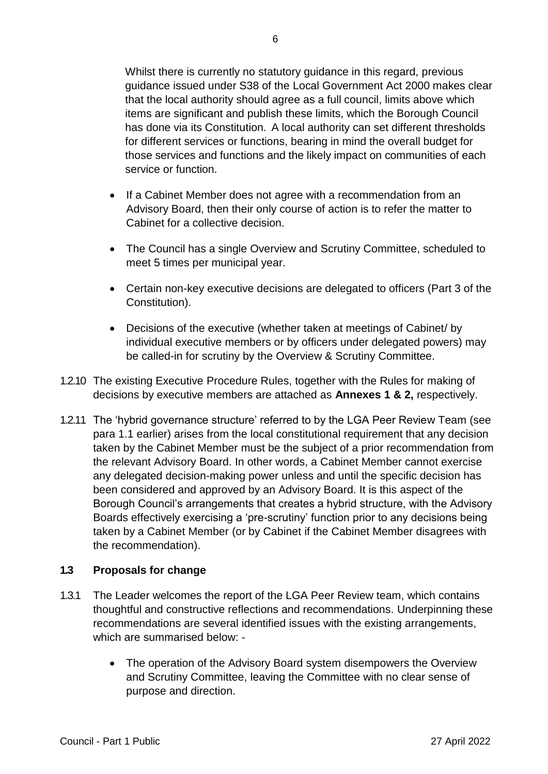Whilst there is currently no statutory guidance in this regard, previous guidance issued under S38 of the Local Government Act 2000 makes clear that the local authority should agree as a full council, limits above which items are significant and publish these limits, which the Borough Council has done via its Constitution. A local authority can set different thresholds for different services or functions, bearing in mind the overall budget for those services and functions and the likely impact on communities of each service or function.

- If a Cabinet Member does not agree with a recommendation from an Advisory Board, then their only course of action is to refer the matter to Cabinet for a collective decision.
- The Council has a single Overview and Scrutiny Committee, scheduled to meet 5 times per municipal year.
- Certain non-key executive decisions are delegated to officers (Part 3 of the Constitution).
- Decisions of the executive (whether taken at meetings of Cabinet/ by individual executive members or by officers under delegated powers) may be called-in for scrutiny by the Overview & Scrutiny Committee.
- 1.2.10 The existing Executive Procedure Rules, together with the Rules for making of decisions by executive members are attached as **Annexes 1 & 2,** respectively.
- 1.2.11 The 'hybrid governance structure' referred to by the LGA Peer Review Team (see para 1.1 earlier) arises from the local constitutional requirement that any decision taken by the Cabinet Member must be the subject of a prior recommendation from the relevant Advisory Board. In other words, a Cabinet Member cannot exercise any delegated decision-making power unless and until the specific decision has been considered and approved by an Advisory Board. It is this aspect of the Borough Council's arrangements that creates a hybrid structure, with the Advisory Boards effectively exercising a 'pre-scrutiny' function prior to any decisions being taken by a Cabinet Member (or by Cabinet if the Cabinet Member disagrees with the recommendation).

## **1.3 Proposals for change**

- 1.3.1 The Leader welcomes the report of the LGA Peer Review team, which contains thoughtful and constructive reflections and recommendations. Underpinning these recommendations are several identified issues with the existing arrangements, which are summarised below: -
	- The operation of the Advisory Board system disempowers the Overview and Scrutiny Committee, leaving the Committee with no clear sense of purpose and direction.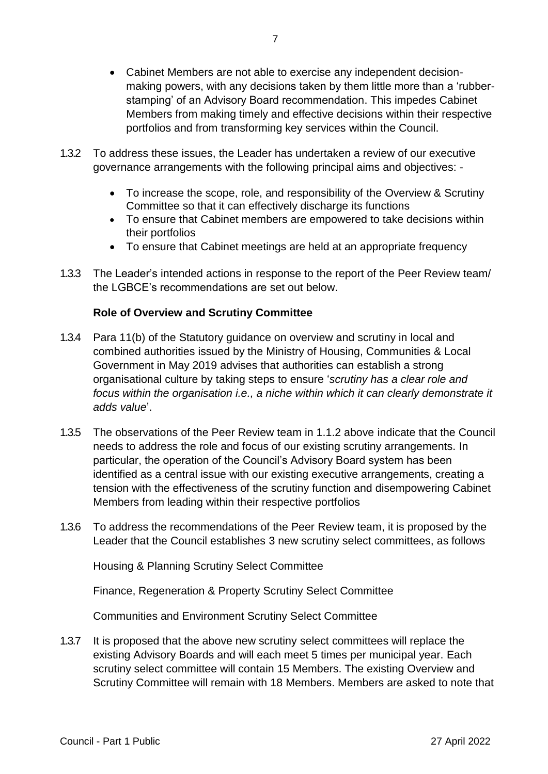- Cabinet Members are not able to exercise any independent decisionmaking powers, with any decisions taken by them little more than a 'rubberstamping' of an Advisory Board recommendation. This impedes Cabinet Members from making timely and effective decisions within their respective portfolios and from transforming key services within the Council.
- 1.3.2 To address these issues, the Leader has undertaken a review of our executive governance arrangements with the following principal aims and objectives: -
	- To increase the scope, role, and responsibility of the Overview & Scrutiny Committee so that it can effectively discharge its functions
	- To ensure that Cabinet members are empowered to take decisions within their portfolios
	- To ensure that Cabinet meetings are held at an appropriate frequency
- 1.3.3 The Leader's intended actions in response to the report of the Peer Review team/ the LGBCE's recommendations are set out below.

# **Role of Overview and Scrutiny Committee**

- 1.3.4 Para 11(b) of the Statutory guidance on overview and scrutiny in local and combined authorities issued by the Ministry of Housing, Communities & Local Government in May 2019 advises that authorities can establish a strong organisational culture by taking steps to ensure '*scrutiny has a clear role and focus within the organisation i.e., a niche within which it can clearly demonstrate it adds value*'.
- 1.3.5 The observations of the Peer Review team in 1.1.2 above indicate that the Council needs to address the role and focus of our existing scrutiny arrangements. In particular, the operation of the Council's Advisory Board system has been identified as a central issue with our existing executive arrangements, creating a tension with the effectiveness of the scrutiny function and disempowering Cabinet Members from leading within their respective portfolios
- 1.3.6 To address the recommendations of the Peer Review team, it is proposed by the Leader that the Council establishes 3 new scrutiny select committees, as follows

Housing & Planning Scrutiny Select Committee

Finance, Regeneration & Property Scrutiny Select Committee

Communities and Environment Scrutiny Select Committee

1.3.7 It is proposed that the above new scrutiny select committees will replace the existing Advisory Boards and will each meet 5 times per municipal year. Each scrutiny select committee will contain 15 Members. The existing Overview and Scrutiny Committee will remain with 18 Members. Members are asked to note that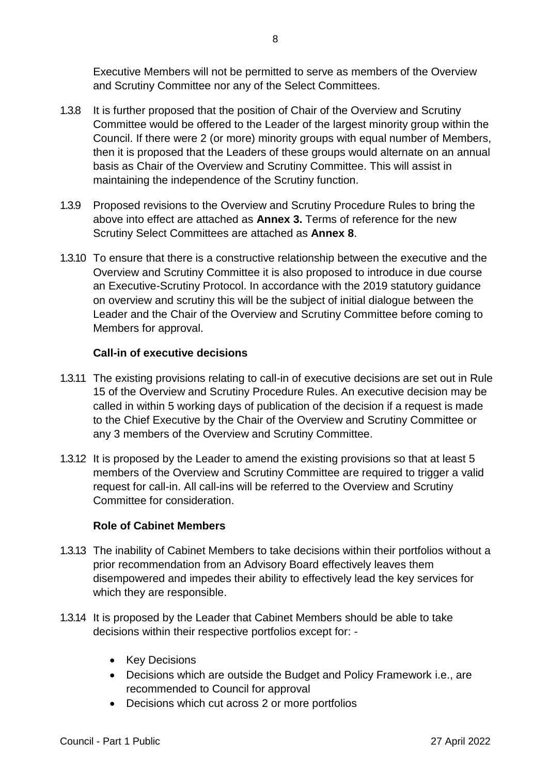Executive Members will not be permitted to serve as members of the Overview and Scrutiny Committee nor any of the Select Committees.

- 1.3.8 It is further proposed that the position of Chair of the Overview and Scrutiny Committee would be offered to the Leader of the largest minority group within the Council. If there were 2 (or more) minority groups with equal number of Members, then it is proposed that the Leaders of these groups would alternate on an annual basis as Chair of the Overview and Scrutiny Committee. This will assist in maintaining the independence of the Scrutiny function.
- 1.3.9 Proposed revisions to the Overview and Scrutiny Procedure Rules to bring the above into effect are attached as **Annex 3.** Terms of reference for the new Scrutiny Select Committees are attached as **Annex 8**.
- 1.3.10 To ensure that there is a constructive relationship between the executive and the Overview and Scrutiny Committee it is also proposed to introduce in due course an Executive-Scrutiny Protocol. In accordance with the 2019 statutory guidance on overview and scrutiny this will be the subject of initial dialogue between the Leader and the Chair of the Overview and Scrutiny Committee before coming to Members for approval.

# **Call-in of executive decisions**

- 1.3.11 The existing provisions relating to call-in of executive decisions are set out in Rule 15 of the Overview and Scrutiny Procedure Rules. An executive decision may be called in within 5 working days of publication of the decision if a request is made to the Chief Executive by the Chair of the Overview and Scrutiny Committee or any 3 members of the Overview and Scrutiny Committee.
- 1.3.12 It is proposed by the Leader to amend the existing provisions so that at least 5 members of the Overview and Scrutiny Committee are required to trigger a valid request for call-in. All call-ins will be referred to the Overview and Scrutiny Committee for consideration.

## **Role of Cabinet Members**

- 1.3.13 The inability of Cabinet Members to take decisions within their portfolios without a prior recommendation from an Advisory Board effectively leaves them disempowered and impedes their ability to effectively lead the key services for which they are responsible.
- 1.3.14 It is proposed by the Leader that Cabinet Members should be able to take decisions within their respective portfolios except for: -
	- Key Decisions
	- Decisions which are outside the Budget and Policy Framework i.e., are recommended to Council for approval
	- Decisions which cut across 2 or more portfolios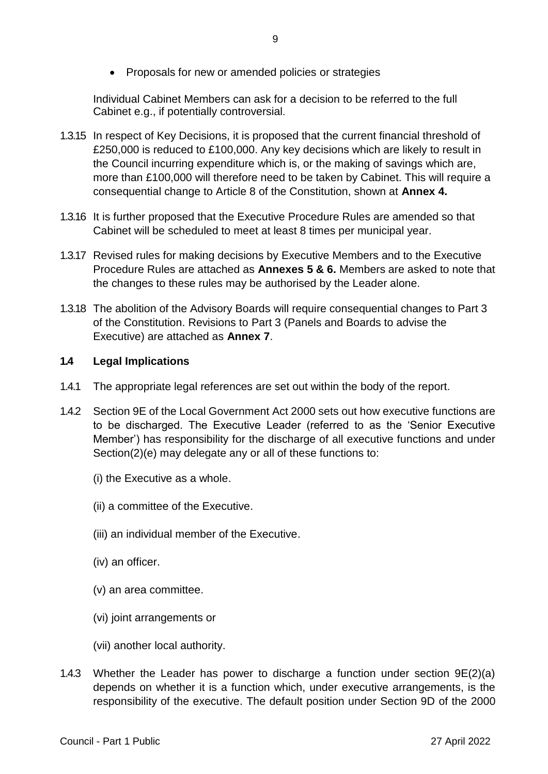• Proposals for new or amended policies or strategies

Individual Cabinet Members can ask for a decision to be referred to the full Cabinet e.g., if potentially controversial.

- 1.3.15 In respect of Key Decisions, it is proposed that the current financial threshold of £250,000 is reduced to £100,000. Any key decisions which are likely to result in the Council incurring expenditure which is, or the making of savings which are, more than £100,000 will therefore need to be taken by Cabinet. This will require a consequential change to Article 8 of the Constitution, shown at **Annex 4.**
- 1.3.16 It is further proposed that the Executive Procedure Rules are amended so that Cabinet will be scheduled to meet at least 8 times per municipal year.
- 1.3.17 Revised rules for making decisions by Executive Members and to the Executive Procedure Rules are attached as **Annexes 5 & 6.** Members are asked to note that the changes to these rules may be authorised by the Leader alone.
- 1.3.18 The abolition of the Advisory Boards will require consequential changes to Part 3 of the Constitution. Revisions to Part 3 (Panels and Boards to advise the Executive) are attached as **Annex 7**.

## **1.4 Legal Implications**

- 1.4.1 The appropriate legal references are set out within the body of the report.
- 1.4.2 Section 9E of the Local Government Act 2000 sets out how executive functions are to be discharged. The Executive Leader (referred to as the 'Senior Executive Member') has responsibility for the discharge of all executive functions and under Section(2)(e) may delegate any or all of these functions to:
	- (i) the Executive as a whole.
	- (ii) a committee of the Executive.
	- (iii) an individual member of the Executive.
	- (iv) an officer.
	- (v) an area committee.
	- (vi) joint arrangements or
	- (vii) another local authority.
- 1.4.3 Whether the Leader has power to discharge a function under section 9E(2)(a) depends on whether it is a function which, under executive arrangements, is the responsibility of the executive. The default position under Section 9D of the 2000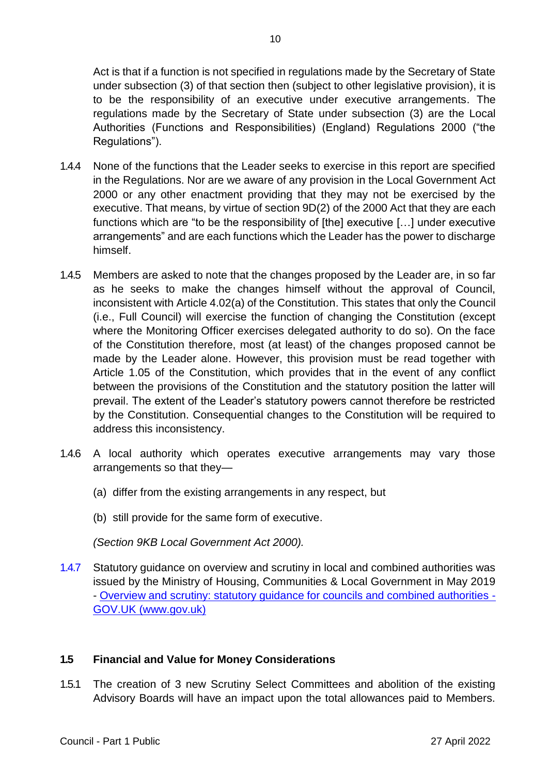Act is that if a function is not specified in regulations made by the Secretary of State under subsection (3) of that section then (subject to other legislative provision), it is to be the responsibility of an executive under executive arrangements. The regulations made by the Secretary of State under subsection (3) are the Local Authorities (Functions and Responsibilities) (England) Regulations 2000 ("the Regulations").

- 1.4.4 None of the functions that the Leader seeks to exercise in this report are specified in the Regulations. Nor are we aware of any provision in the Local Government Act 2000 or any other enactment providing that they may not be exercised by the executive. That means, by virtue of section 9D(2) of the 2000 Act that they are each functions which are "to be the responsibility of [the] executive […] under executive arrangements" and are each functions which the Leader has the power to discharge himself.
- 1.4.5 Members are asked to note that the changes proposed by the Leader are, in so far as he seeks to make the changes himself without the approval of Council, inconsistent with Article 4.02(a) of the Constitution. This states that only the Council (i.e., Full Council) will exercise the function of changing the Constitution (except where the Monitoring Officer exercises delegated authority to do so). On the face of the Constitution therefore, most (at least) of the changes proposed cannot be made by the Leader alone. However, this provision must be read together with Article 1.05 of the Constitution, which provides that in the event of any conflict between the provisions of the Constitution and the statutory position the latter will prevail. The extent of the Leader's statutory powers cannot therefore be restricted by the Constitution. Consequential changes to the Constitution will be required to address this inconsistency.
- 1.4.6 A local authority which operates executive arrangements may vary those arrangements so that they—
	- (a) differ from the existing arrangements in any respect, but
	- (b) still provide for the same form of executive.

*(Section 9KB Local Government Act 2000).* 

1.4.7 Statutory guidance on overview and scrutiny in local and combined authorities was issued by the Ministry of Housing, Communities & Local Government in May 2019 - [Overview and scrutiny: statutory guidance for councils and combined authorities -](https://www.gov.uk/government/publications/overview-and-scrutiny-statutory-guidance-for-councils-and-combined-authorities) [GOV.UK \(www.gov.uk\)](https://www.gov.uk/government/publications/overview-and-scrutiny-statutory-guidance-for-councils-and-combined-authorities)

# **1.5 Financial and Value for Money Considerations**

1.5.1 The creation of 3 new Scrutiny Select Committees and abolition of the existing Advisory Boards will have an impact upon the total allowances paid to Members.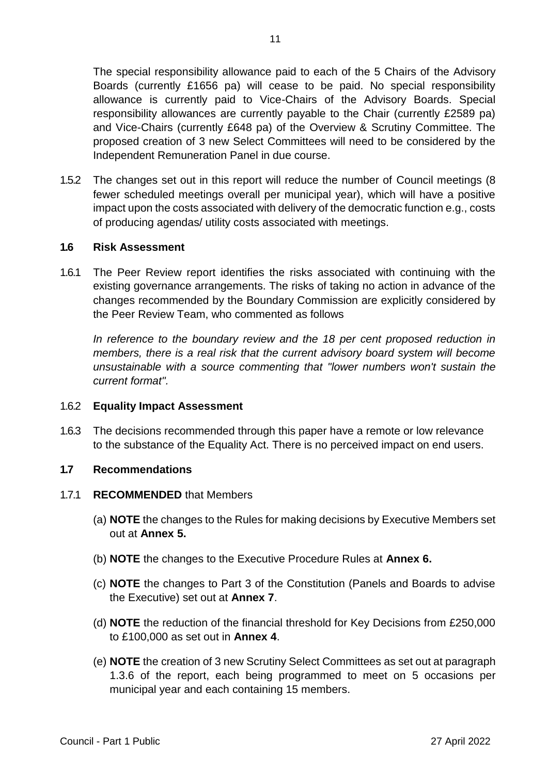The special responsibility allowance paid to each of the 5 Chairs of the Advisory Boards (currently £1656 pa) will cease to be paid. No special responsibility allowance is currently paid to Vice-Chairs of the Advisory Boards. Special responsibility allowances are currently payable to the Chair (currently £2589 pa) and Vice-Chairs (currently £648 pa) of the Overview & Scrutiny Committee. The proposed creation of 3 new Select Committees will need to be considered by the Independent Remuneration Panel in due course.

1.5.2 The changes set out in this report will reduce the number of Council meetings (8 fewer scheduled meetings overall per municipal year), which will have a positive impact upon the costs associated with delivery of the democratic function e.g., costs of producing agendas/ utility costs associated with meetings.

### **1.6 Risk Assessment**

1.6.1 The Peer Review report identifies the risks associated with continuing with the existing governance arrangements. The risks of taking no action in advance of the changes recommended by the Boundary Commission are explicitly considered by the Peer Review Team, who commented as follows

In reference to the boundary review and the 18 per cent proposed reduction in *members, there is a real risk that the current advisory board system will become unsustainable with a source commenting that "lower numbers won't sustain the current format".*

#### 1.6.2 **Equality Impact Assessment**

1.6.3 The decisions recommended through this paper have a remote or low relevance to the substance of the Equality Act. There is no perceived impact on end users.

### **1.7 Recommendations**

#### 1.7.1 **RECOMMENDED** that Members

- (a) **NOTE** the changes to the Rules for making decisions by Executive Members set out at **Annex 5.**
- (b) **NOTE** the changes to the Executive Procedure Rules at **Annex 6.**
- (c) **NOTE** the changes to Part 3 of the Constitution (Panels and Boards to advise the Executive) set out at **Annex 7**.
- (d) **NOTE** the reduction of the financial threshold for Key Decisions from £250,000 to £100,000 as set out in **Annex 4**.
- (e) **NOTE** the creation of 3 new Scrutiny Select Committees as set out at paragraph 1.3.6 of the report, each being programmed to meet on 5 occasions per municipal year and each containing 15 members.